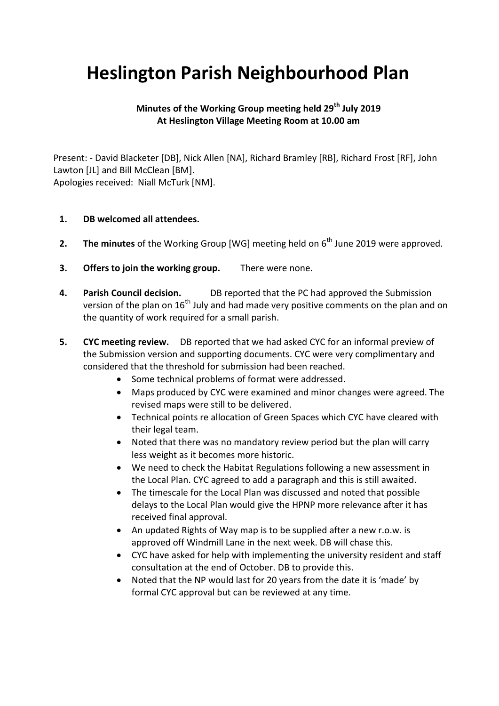## **Heslington Parish Neighbourhood Plan**

## **Minutes of the Working Group meeting held 29th July 2019 At Heslington Village Meeting Room at 10.00 am**

Present: - David Blacketer [DB], Nick Allen [NA], Richard Bramley [RB], Richard Frost [RF], John Lawton [JL] and Bill McClean [BM]. Apologies received: Niall McTurk [NM].

## **1. DB welcomed all attendees.**

- **2. The minutes** of the Working Group [WG] meeting held on 6<sup>th</sup> June 2019 were approved.
- **3. Offers to join the working group.** There were none.
- **4. Parish Council decision.** DB reported that the PC had approved the Submission version of the plan on  $16<sup>th</sup>$  July and had made very positive comments on the plan and on the quantity of work required for a small parish.
- **5. CYC meeting review.** DB reported that we had asked CYC for an informal preview of the Submission version and supporting documents. CYC were very complimentary and considered that the threshold for submission had been reached.
	- Some technical problems of format were addressed.
	- Maps produced by CYC were examined and minor changes were agreed. The revised maps were still to be delivered.
	- Technical points re allocation of Green Spaces which CYC have cleared with their legal team.
	- Noted that there was no mandatory review period but the plan will carry less weight as it becomes more historic.
	- We need to check the Habitat Regulations following a new assessment in the Local Plan. CYC agreed to add a paragraph and this is still awaited.
	- The timescale for the Local Plan was discussed and noted that possible delays to the Local Plan would give the HPNP more relevance after it has received final approval.
	- An updated Rights of Way map is to be supplied after a new r.o.w. is approved off Windmill Lane in the next week. DB will chase this.
	- CYC have asked for help with implementing the university resident and staff consultation at the end of October. DB to provide this.
	- Noted that the NP would last for 20 years from the date it is 'made' by formal CYC approval but can be reviewed at any time.